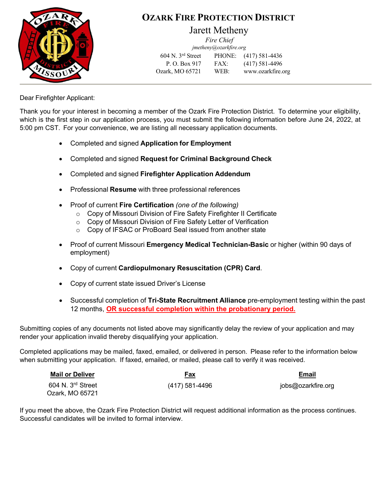

## **OZARK FIRE PROTECTION DISTRICT**

### Jarett Metheny

*Fire Chief [jmetheny@ozarkfire.org](mailto:jmetheny@ozarkfire.org)*

604 N. 3rd Street PHONE: (417) 581-4436 P. O. Box 917 FAX: (417) 581-4496 Ozark, MO 65721 WEB: [www.ozarkfire.org](http://www.ozarkfire.org/)

Dear Firefighter Applicant:

Thank you for your interest in becoming a member of the Ozark Fire Protection District. To determine your eligibility, which is the first step in our application process, you must submit the following information before June 24, 2022, at 5:00 pm CST. For your convenience, we are listing all necessary application documents.

- Completed and signed **Application for Employment**
- Completed and signed **Request for Criminal Background Check**
- Completed and signed **Firefighter Application Addendum**
- Professional **Resume** with three professional references
- Proof of current **Fire Certification** *(one of the following)*
	- o Copy of Missouri Division of Fire Safety Firefighter II Certificate
	- o Copy of Missouri Division of Fire Safety Letter of Verification
	- o Copy of IFSAC or ProBoard Seal issued from another state
- Proof of current Missouri **Emergency Medical Technician-Basic** or higher (within 90 days of employment)
- Copy of current **Cardiopulmonary Resuscitation (CPR) Card**.
- Copy of current state issued Driver's License
- Successful completion of **Tri-State Recruitment Alliance** pre-employment testing within the past 12 months, **OR successful completion within the probationary period.**

Submitting copies of any documents not listed above may significantly delay the review of your application and may render your application invalid thereby disqualifying your application.

Completed applications may be mailed, faxed, emailed, or delivered in person. Please refer to the information below when submitting your application. If faxed, emailed, or mailed, please call to verify it was received.

| <b>Mail or Deliver</b>                   | Fax            | <b>Email</b>       |
|------------------------------------------|----------------|--------------------|
| $604$ N. $3rd$ Street<br>Ozark, MO 65721 | (417) 581-4496 | jobs@ozarkfire.org |

If you meet the above, the Ozark Fire Protection District will request additional information as the process continues. Successful candidates will be invited to formal interview.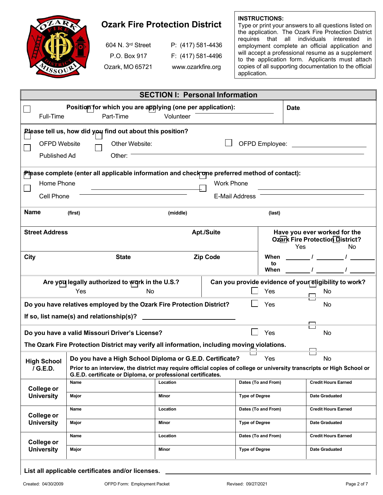

## **Ozark Fire Protection District**

| 604 N. 3 <sup>rd</sup> Street | P: (417) 58 |
|-------------------------------|-------------|
| P.O. Box 917                  | F: (417) 58 |
| Ozark, MO 65721               | www.ozarkt  |

81-4436  $1 - 4496$ fire.org

**INSTRUCTIONS:**

Type or print your answers to all questions listed on the application. The Ozark Fire Protection District requires that all individuals interested in employment complete an official application and will accept a professional resume as a supplement to the application form. Applicants must attach copies of all supporting documentation to the official application.

| Position for which you are applying (one per application):<br><b>Date</b><br>Part-Time<br>Full-Time<br>Volunteer<br>Please tell us, how did you find out about this position?<br>Other Website:<br><b>OFPD Website</b><br>Other:<br>Published Ad<br>Please complete (enter all applicable information and check one preferred method of contact):<br>Home Phone<br><b>Work Phone</b> |  |  |  |
|--------------------------------------------------------------------------------------------------------------------------------------------------------------------------------------------------------------------------------------------------------------------------------------------------------------------------------------------------------------------------------------|--|--|--|
|                                                                                                                                                                                                                                                                                                                                                                                      |  |  |  |
|                                                                                                                                                                                                                                                                                                                                                                                      |  |  |  |
|                                                                                                                                                                                                                                                                                                                                                                                      |  |  |  |
|                                                                                                                                                                                                                                                                                                                                                                                      |  |  |  |
|                                                                                                                                                                                                                                                                                                                                                                                      |  |  |  |
|                                                                                                                                                                                                                                                                                                                                                                                      |  |  |  |
|                                                                                                                                                                                                                                                                                                                                                                                      |  |  |  |
| Cell Phone<br>E-Mail Address                                                                                                                                                                                                                                                                                                                                                         |  |  |  |
| Name<br>(first)<br>(middle)<br>(last)                                                                                                                                                                                                                                                                                                                                                |  |  |  |
| <b>Street Address</b><br>Have you ever worked for the<br><b>Apt./Suite</b><br><b>Ozark Fire Protection District?</b><br>Yes<br><b>No</b>                                                                                                                                                                                                                                             |  |  |  |
| City<br><b>Zip Code</b><br>When<br><b>State</b>                                                                                                                                                                                                                                                                                                                                      |  |  |  |
| to<br>When                                                                                                                                                                                                                                                                                                                                                                           |  |  |  |
| Are you legally authorized to work in the U.S.?<br>Can you provide evidence of your eligibility to work?<br>Yes<br>Yes<br>No<br>No                                                                                                                                                                                                                                                   |  |  |  |
| Do you have relatives employed by the Ozark Fire Protection District?<br>Yes<br>No                                                                                                                                                                                                                                                                                                   |  |  |  |
| If so, list name(s) and relationship(s)?                                                                                                                                                                                                                                                                                                                                             |  |  |  |
|                                                                                                                                                                                                                                                                                                                                                                                      |  |  |  |
| Do you have a valid Missouri Driver's License?<br>Yes<br>No                                                                                                                                                                                                                                                                                                                          |  |  |  |
| The Ozark Fire Protection District may verify all information, including moving violations.                                                                                                                                                                                                                                                                                          |  |  |  |
| Do you have a High School Diploma or G.E.D. Certificate?<br>Yes<br>No<br><b>High School</b>                                                                                                                                                                                                                                                                                          |  |  |  |
| / G.E.D.<br>Prior to an interview, the district may require official copies of college or university transcripts or High School or<br>G.E.D. certificate or Diploma, or professional certificates.                                                                                                                                                                                   |  |  |  |
| Location<br>Dates (To and From)<br><b>Credit Hours Earned</b><br>Name<br>College or                                                                                                                                                                                                                                                                                                  |  |  |  |
| <b>University</b><br><b>Type of Degree</b><br><b>Date Graduated</b><br>Minor<br>Major                                                                                                                                                                                                                                                                                                |  |  |  |
| Dates (To and From)<br>Name<br><b>Credit Hours Earned</b><br>Location<br>College or                                                                                                                                                                                                                                                                                                  |  |  |  |
| <b>University</b><br><b>Type of Degree</b><br><b>Date Graduated</b><br>Major<br>Minor                                                                                                                                                                                                                                                                                                |  |  |  |
| Dates (To and From)<br>Name<br>Location<br><b>Credit Hours Earned</b>                                                                                                                                                                                                                                                                                                                |  |  |  |
| College or<br><b>University</b><br><b>Type of Degree</b><br>Major<br>Minor<br><b>Date Graduated</b>                                                                                                                                                                                                                                                                                  |  |  |  |

**List all applicable certificates and/or licenses.**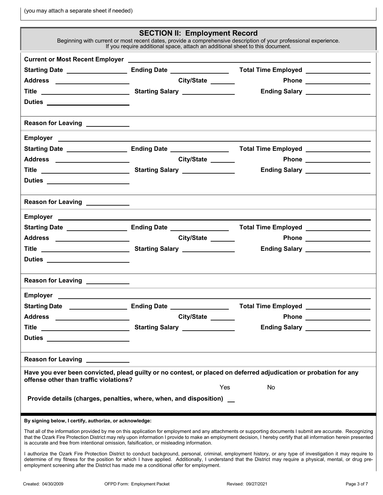(you may attach a separate sheet if needed)

|                                                                                                                                                                                                                                      | <b>SECTION II: Employment Record</b>                                                                                  |                                                                                                                                                                                                                                                                                                                              |  |
|--------------------------------------------------------------------------------------------------------------------------------------------------------------------------------------------------------------------------------------|-----------------------------------------------------------------------------------------------------------------------|------------------------------------------------------------------------------------------------------------------------------------------------------------------------------------------------------------------------------------------------------------------------------------------------------------------------------|--|
| Beginning with current or most recent dates, provide a comprehensive description of your professional experience.<br>If you require additional space, attach an additional sheet to this document.                                   |                                                                                                                       |                                                                                                                                                                                                                                                                                                                              |  |
|                                                                                                                                                                                                                                      |                                                                                                                       |                                                                                                                                                                                                                                                                                                                              |  |
|                                                                                                                                                                                                                                      |                                                                                                                       |                                                                                                                                                                                                                                                                                                                              |  |
| Address ____________________                                                                                                                                                                                                         | City/State ______                                                                                                     |                                                                                                                                                                                                                                                                                                                              |  |
| Title <u>Community Starting Salary Community Starting Salary Community Starting Salary Community Starting Salary Community Starting Salary Community Starting Salary Community Starting Salary Community Starting Starting Start</u> |                                                                                                                       | Ending Salary ___________________                                                                                                                                                                                                                                                                                            |  |
| Duties _______________________                                                                                                                                                                                                       |                                                                                                                       |                                                                                                                                                                                                                                                                                                                              |  |
|                                                                                                                                                                                                                                      |                                                                                                                       |                                                                                                                                                                                                                                                                                                                              |  |
| Reason for Leaving ____________                                                                                                                                                                                                      |                                                                                                                       | ,我们也不能在这里的时候,我们也不能在这里的时候,我们也不能会在这里的时候,我们也不能会在这里的时候,我们也不能会在这里的时候,我们也不能会在这里的时候,我们也                                                                                                                                                                                                                                             |  |
| Employer <u>_____________________</u>                                                                                                                                                                                                |                                                                                                                       |                                                                                                                                                                                                                                                                                                                              |  |
|                                                                                                                                                                                                                                      |                                                                                                                       |                                                                                                                                                                                                                                                                                                                              |  |
| Address ____________________                                                                                                                                                                                                         | City/State                                                                                                            |                                                                                                                                                                                                                                                                                                                              |  |
|                                                                                                                                                                                                                                      |                                                                                                                       | Ending Salary __________________                                                                                                                                                                                                                                                                                             |  |
| Duties ______________________                                                                                                                                                                                                        |                                                                                                                       |                                                                                                                                                                                                                                                                                                                              |  |
|                                                                                                                                                                                                                                      |                                                                                                                       |                                                                                                                                                                                                                                                                                                                              |  |
| Reason for Leaving ____________                                                                                                                                                                                                      | <u> 1989 - Johann Stein, marwolaethau a bhann an t-Amhain ann an t-Amhain an t-Amhain an t-Amhain an t-Amhain an </u> |                                                                                                                                                                                                                                                                                                                              |  |
|                                                                                                                                                                                                                                      |                                                                                                                       |                                                                                                                                                                                                                                                                                                                              |  |
|                                                                                                                                                                                                                                      |                                                                                                                       |                                                                                                                                                                                                                                                                                                                              |  |
| Address _____________________                                                                                                                                                                                                        | City/State ______                                                                                                     |                                                                                                                                                                                                                                                                                                                              |  |
|                                                                                                                                                                                                                                      |                                                                                                                       | Ending Salary ___________________                                                                                                                                                                                                                                                                                            |  |
| Duties ______________________                                                                                                                                                                                                        |                                                                                                                       |                                                                                                                                                                                                                                                                                                                              |  |
|                                                                                                                                                                                                                                      |                                                                                                                       |                                                                                                                                                                                                                                                                                                                              |  |
| Reason for Leaving ____________                                                                                                                                                                                                      |                                                                                                                       |                                                                                                                                                                                                                                                                                                                              |  |
| Employer ________                                                                                                                                                                                                                    |                                                                                                                       |                                                                                                                                                                                                                                                                                                                              |  |
| Starting Date <b>Constanting Date Constanting Date Constanting Date</b>                                                                                                                                                              |                                                                                                                       | Total Time Employed __________________                                                                                                                                                                                                                                                                                       |  |
| Address _____________________                                                                                                                                                                                                        | City/State ______                                                                                                     |                                                                                                                                                                                                                                                                                                                              |  |
|                                                                                                                                                                                                                                      |                                                                                                                       | Ending Salary ___________________                                                                                                                                                                                                                                                                                            |  |
| Duties _______________________                                                                                                                                                                                                       |                                                                                                                       |                                                                                                                                                                                                                                                                                                                              |  |
| Reason for Leaving ____________                                                                                                                                                                                                      |                                                                                                                       |                                                                                                                                                                                                                                                                                                                              |  |
|                                                                                                                                                                                                                                      |                                                                                                                       | Have you ever been convicted, plead guilty or no contest, or placed on deferred adjudication or probation for any                                                                                                                                                                                                            |  |
| offense other than traffic violations?                                                                                                                                                                                               |                                                                                                                       |                                                                                                                                                                                                                                                                                                                              |  |
|                                                                                                                                                                                                                                      |                                                                                                                       | Yes<br>No                                                                                                                                                                                                                                                                                                                    |  |
| Provide details (charges, penalties, where, when, and disposition) _                                                                                                                                                                 |                                                                                                                       |                                                                                                                                                                                                                                                                                                                              |  |
| By signing below, I certify, authorize, or acknowledge:                                                                                                                                                                              |                                                                                                                       |                                                                                                                                                                                                                                                                                                                              |  |
|                                                                                                                                                                                                                                      |                                                                                                                       | That all of the information provided by me on this application for employment and any attachments or supporting documents I submit are accurate. Recognizing                                                                                                                                                                 |  |
| is accurate and free from intentional omission, falsification, or misleading information.                                                                                                                                            |                                                                                                                       | that the Ozark Fire Protection District may rely upon information I provide to make an employment decision, I hereby certify that all information herein presented                                                                                                                                                           |  |
|                                                                                                                                                                                                                                      |                                                                                                                       | I authorize the Ozark Fire Protection District to conduct background, personal, criminal, employment history, or any type of investigation it may require to<br>determine of my fitness for the position for which I have applied. Additionally, I understand that the District may require a physical, mental, or drug pre- |  |

employment screening after the District has made me a conditional offer for employment.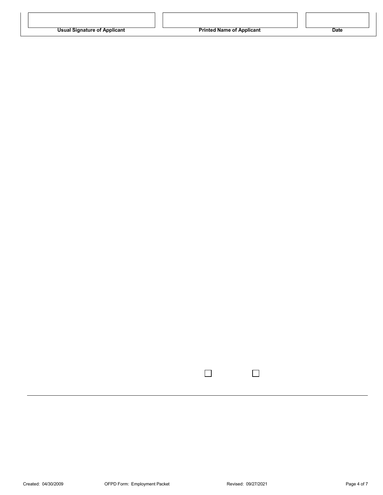| <b>Usual Signature of Applicant</b> |  |
|-------------------------------------|--|
|-------------------------------------|--|

 $\Box$ 

 $\Box$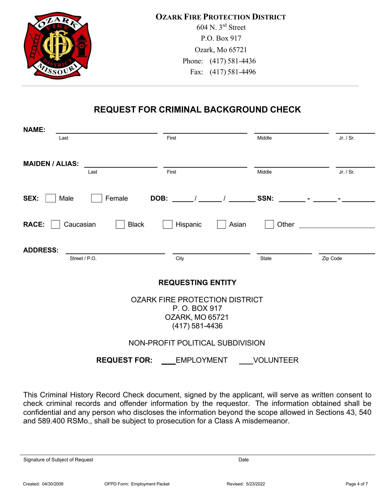

# **REQUEST FOR CRIMINAL BACKGROUND CHECK**

| <b>NAME:</b>                                           |                    |                                 |            |  |
|--------------------------------------------------------|--------------------|---------------------------------|------------|--|
| Last                                                   | First              | Middle                          | $Jr$ / Sr. |  |
| <b>MAIDEN / ALIAS:</b><br>Last                         | First              | Middle                          | Jr. / Sr.  |  |
| SEX:<br>Male<br>Female                                 | DOB:<br>$\sqrt{1}$ | SSN:<br>$\sim 100$ km s $^{-1}$ |            |  |
| <b>Black</b><br><b>RACE:</b><br>Caucasian              | Hispanic<br>Asian  | Other                           |            |  |
| <b>ADDRESS:</b>                                        |                    |                                 |            |  |
| Street / P.O.                                          | City               | State                           | Zip Code   |  |
| <b>REQUESTING ENTITY</b>                               |                    |                                 |            |  |
| <b>OZARK FIRE PROTECTION DISTRICT</b><br>P. O. BOX 917 |                    |                                 |            |  |
| <b>OZARK, MO 65721</b>                                 |                    |                                 |            |  |
|                                                        | $(417) 581 - 4436$ |                                 |            |  |
| NON-PROFIT POLITICAL SUBDIVISION                       |                    |                                 |            |  |
| <b>REQUEST FOR:</b>                                    | <b>EMPLOYMENT</b>  | <b>VOLUNTEER</b>                |            |  |

This Criminal History Record Check document, signed by the applicant, will serve as written consent to check criminal records and offender information by the requestor. The information obtained shall be confidential and any person who discloses the information beyond the scope allowed in Sections 43, 540 and 589.400 RSMo., shall be subject to prosecution for a Class A misdemeanor.

Signature of Subject of Request **Date** Date **Date** Date **Date** Date **Date Date**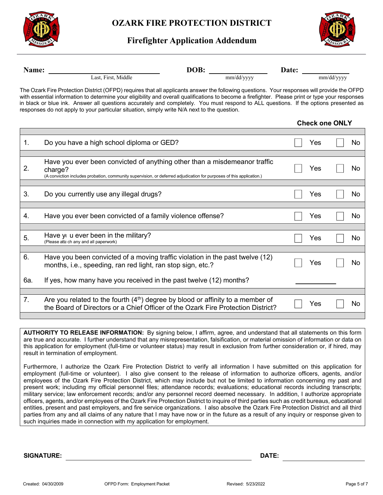

#### **Firefighter Application Addendum**



| Name: | DOB: _                                                                                                                                                                                                                                                                                                                                                                                                                                                                                                                                 | mm/dd/yyyy | Date: |                       |            |     |
|-------|----------------------------------------------------------------------------------------------------------------------------------------------------------------------------------------------------------------------------------------------------------------------------------------------------------------------------------------------------------------------------------------------------------------------------------------------------------------------------------------------------------------------------------------|------------|-------|-----------------------|------------|-----|
|       | Last, First, Middle                                                                                                                                                                                                                                                                                                                                                                                                                                                                                                                    |            |       |                       | mm/dd/yyyy |     |
|       | The Ozark Fire Protection District (OFPD) requires that all applicants answer the following questions. Your responses will provide the OFPD<br>with essential information to determine your eligibility and overall qualifications to become a firefighter. Please print or type your responses<br>in black or blue ink. Answer all questions accurately and completely. You must respond to ALL questions. If the options presented as<br>responses do not apply to your particular situation, simply write N/A next to the question. |            |       |                       |            |     |
|       |                                                                                                                                                                                                                                                                                                                                                                                                                                                                                                                                        |            |       | <b>Check one ONLY</b> |            |     |
| 1.    | Do you have a high school diploma or GED?                                                                                                                                                                                                                                                                                                                                                                                                                                                                                              |            |       | Yes                   |            | No  |
|       | Have you ever been convicted of anything other than a misdemeanor traffic                                                                                                                                                                                                                                                                                                                                                                                                                                                              |            |       |                       |            |     |
| 2.    | charge?<br>(A conviction includes probation, community supervision, or deferred adjudication for purposes of this application.)                                                                                                                                                                                                                                                                                                                                                                                                        |            |       | Yes                   |            | No  |
|       |                                                                                                                                                                                                                                                                                                                                                                                                                                                                                                                                        |            |       |                       |            |     |
| 3.    | Do you currently use any illegal drugs?                                                                                                                                                                                                                                                                                                                                                                                                                                                                                                |            |       | Yes                   |            | No  |
| 4.    | Have you ever been convicted of a family violence offense?                                                                                                                                                                                                                                                                                                                                                                                                                                                                             |            |       | Yes                   |            | No  |
| 5.    | Have y u ever been in the military?                                                                                                                                                                                                                                                                                                                                                                                                                                                                                                    |            |       | Yes                   |            | No  |
|       | (Please atta ch any and all paperwork)                                                                                                                                                                                                                                                                                                                                                                                                                                                                                                 |            |       |                       |            |     |
| 6.    | Have you been convicted of a moving traffic violation in the past twelve (12)<br>months, i.e., speeding, ran red light, ran stop sign, etc.?                                                                                                                                                                                                                                                                                                                                                                                           |            |       | Yes                   |            | No. |
| 6а.   | If yes, how many have you received in the past twelve (12) months?                                                                                                                                                                                                                                                                                                                                                                                                                                                                     |            |       |                       |            |     |
|       |                                                                                                                                                                                                                                                                                                                                                                                                                                                                                                                                        |            |       |                       |            |     |
| 7.    | Are you related to the fourth $(4th)$ degree by blood or affinity to a member of<br>the Board of Directors or a Chief Officer of the Ozark Fire Protection District?                                                                                                                                                                                                                                                                                                                                                                   |            |       | Yes                   |            | No  |
|       |                                                                                                                                                                                                                                                                                                                                                                                                                                                                                                                                        |            |       |                       |            |     |

**AUTHORITY TO RELEASE INFORMATION:** By signing below, I affirm, agree, and understand that all statements on this form are true and accurate. I further understand that any misrepresentation, falsification, or material omission of information or data on this application for employment (full-time or volunteer status) may result in exclusion from further consideration or, if hired, may result in termination of employment.

Furthermore, I authorize the Ozark Fire Protection District to verify all information I have submitted on this application for employment (full-time or volunteer). I also give consent to the release of information to authorize officers, agents, and/or employees of the Ozark Fire Protection District, which may include but not be limited to information concerning my past and present work; including my official personnel files; attendance records; evaluations; educational records including transcripts; military service; law enforcement records; and/or any personnel record deemed necessary. In addition, I authorize appropriate officers, agents, and/or employees of the Ozark Fire Protection District to inquire of third parties such as credit bureaus, educational entities, present and past employers, and fire service organizations. I also absolve the Ozark Fire Protection District and all third parties from any and all claims of any nature that I may have now or in the future as a result of any inquiry or response given to such inquiries made in connection with my application for employment.

**SIGNATURE: DATE:**